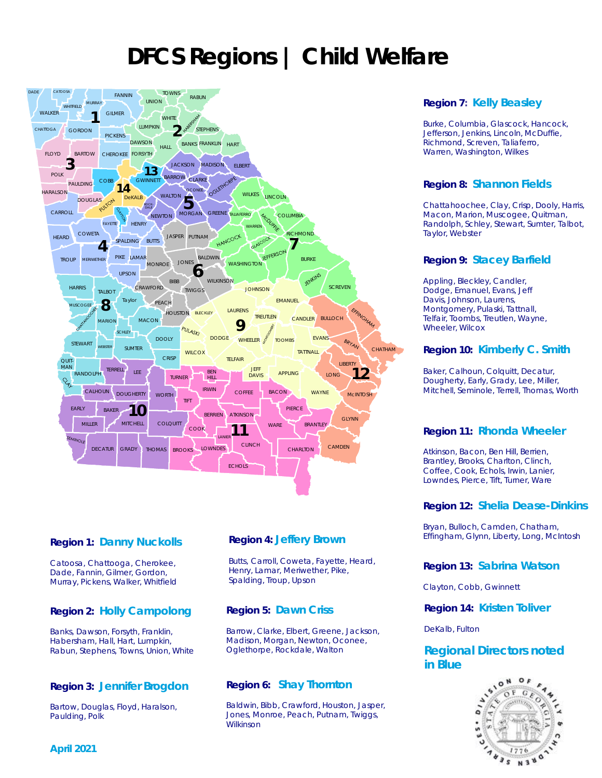# **DFCS Regions | Child Welfare**



# **Region 1: Danny Nuckolls**

Catoosa, Chattooga, Cherokee, Dade, Fannin, Gilmer, Gordon, Murray, Pickens, Walker, Whitfield

# **Region 2: Holly Campolong**

Banks, Dawson, Forsyth, Franklin, Habersham, Hall, Hart, Lumpkin, Rabun, Stephens, Towns, Union, White

# **Region 3: Jennifer Brogdon**

Bartow, Douglas, Floyd, Haralson, Paulding, Polk

# **Region 4: Jeffery Brown**

Butts, Carroll, Coweta, Fayette, Heard, Henry, Lamar, Meriwether, Pike, Spalding, Troup, Upson

# **Region 5: Dawn Criss**

Barrow, Clarke, Elbert, Greene, Jackson, Madison, Morgan, Newton, Oconee, Oglethorpe, Rockdale, Walton

# **Region 6: Shay Thornton**

Baldwin, Bibb, Crawford, Houston, Jasper, Jones, Monroe, Peach, Putnam, Twiggs, Wilkinson

# **Region 7: Kelly Beasley**

Burke, Columbia, Glascock, Hancock, Jefferson, Jenkins, Lincoln, McDuffie, Richmond, Screven, Taliaferro, Warren, Washington, Wilkes

# **Region 8: Shannon Fields**

Chattahoochee, Clay, Crisp, Dooly, Harris, Macon, Marion, Muscogee, Quitman, Randolph, Schley, Stewart, Sumter, Talbot, Taylor, Webster

#### **Region 9: Stacey Barfield**

Appling, Bleckley, Candler, Dodge, Emanuel, Evans, Jeff Davis, Johnson, Laurens, Montgomery, Pulaski, Tattnall, Telfair, Toombs, Treutlen, Wayne, Wheeler, Wilcox

#### **Region 10: Kimberly C. Smith**

Baker, Calhoun, Colquitt, Decatur, Dougherty, Early, Grady, Lee, Miller, Mitchell, Seminole, Terrell, Thomas, Worth

# **Region 11: Rhonda Wheeler**

Atkinson, Bacon, Ben Hill, Berrien, Brantley, Brooks, Charlton, Clinch, Coffee, Cook, Echols, Irwin, Lanier, Lowndes, Pierce, Tift, Turner, Ware

# **Region 12: Shelia Dease-Dinkins**

Bryan, Bulloch, Camden, Chatham, Effingham, Glynn, Liberty, Long, McIntosh

# **Region 13: Sabrina Watson**

Clayton, Cobb, Gwinnett

#### **Region 14: Kristen Toliver**

DeKalb, Fulton

# **Regional Directors noted in Blue**